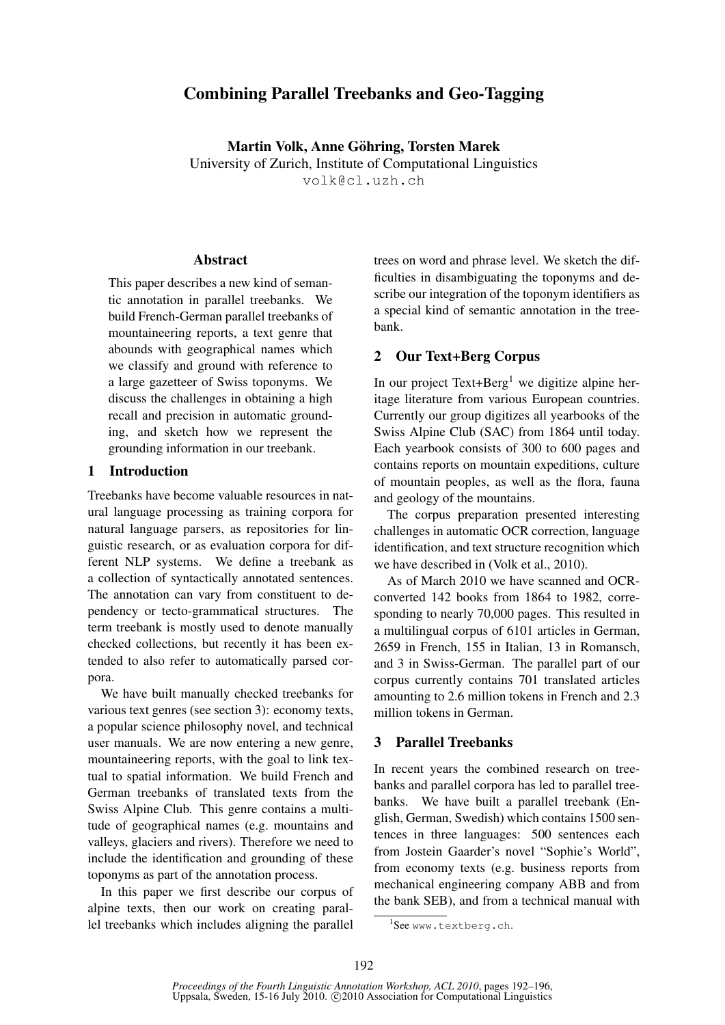# Combining Parallel Treebanks and Geo-Tagging

Martin Volk, Anne Göhring, Torsten Marek University of Zurich, Institute of Computational Linguistics volk@cl.uzh.ch

### Abstract

This paper describes a new kind of semantic annotation in parallel treebanks. We build French-German parallel treebanks of mountaineering reports, a text genre that abounds with geographical names which we classify and ground with reference to a large gazetteer of Swiss toponyms. We discuss the challenges in obtaining a high recall and precision in automatic grounding, and sketch how we represent the grounding information in our treebank.

### 1 Introduction

Treebanks have become valuable resources in natural language processing as training corpora for natural language parsers, as repositories for linguistic research, or as evaluation corpora for different NLP systems. We define a treebank as a collection of syntactically annotated sentences. The annotation can vary from constituent to dependency or tecto-grammatical structures. The term treebank is mostly used to denote manually checked collections, but recently it has been extended to also refer to automatically parsed corpora.

We have built manually checked treebanks for various text genres (see section 3): economy texts, a popular science philosophy novel, and technical user manuals. We are now entering a new genre, mountaineering reports, with the goal to link textual to spatial information. We build French and German treebanks of translated texts from the Swiss Alpine Club. This genre contains a multitude of geographical names (e.g. mountains and valleys, glaciers and rivers). Therefore we need to include the identification and grounding of these toponyms as part of the annotation process.

In this paper we first describe our corpus of alpine texts, then our work on creating parallel treebanks which includes aligning the parallel trees on word and phrase level. We sketch the difficulties in disambiguating the toponyms and describe our integration of the toponym identifiers as a special kind of semantic annotation in the treebank.

### 2 Our Text+Berg Corpus

In our project Text+Berg<sup>1</sup> we digitize alpine heritage literature from various European countries. Currently our group digitizes all yearbooks of the Swiss Alpine Club (SAC) from 1864 until today. Each yearbook consists of 300 to 600 pages and contains reports on mountain expeditions, culture of mountain peoples, as well as the flora, fauna and geology of the mountains.

The corpus preparation presented interesting challenges in automatic OCR correction, language identification, and text structure recognition which we have described in (Volk et al., 2010).

As of March 2010 we have scanned and OCRconverted 142 books from 1864 to 1982, corresponding to nearly 70,000 pages. This resulted in a multilingual corpus of 6101 articles in German, 2659 in French, 155 in Italian, 13 in Romansch, and 3 in Swiss-German. The parallel part of our corpus currently contains 701 translated articles amounting to 2.6 million tokens in French and 2.3 million tokens in German.

### 3 Parallel Treebanks

In recent years the combined research on treebanks and parallel corpora has led to parallel treebanks. We have built a parallel treebank (English, German, Swedish) which contains 1500 sentences in three languages: 500 sentences each from Jostein Gaarder's novel "Sophie's World", from economy texts (e.g. business reports from mechanical engineering company ABB and from the bank SEB), and from a technical manual with

<sup>1</sup> See www.textberg.ch.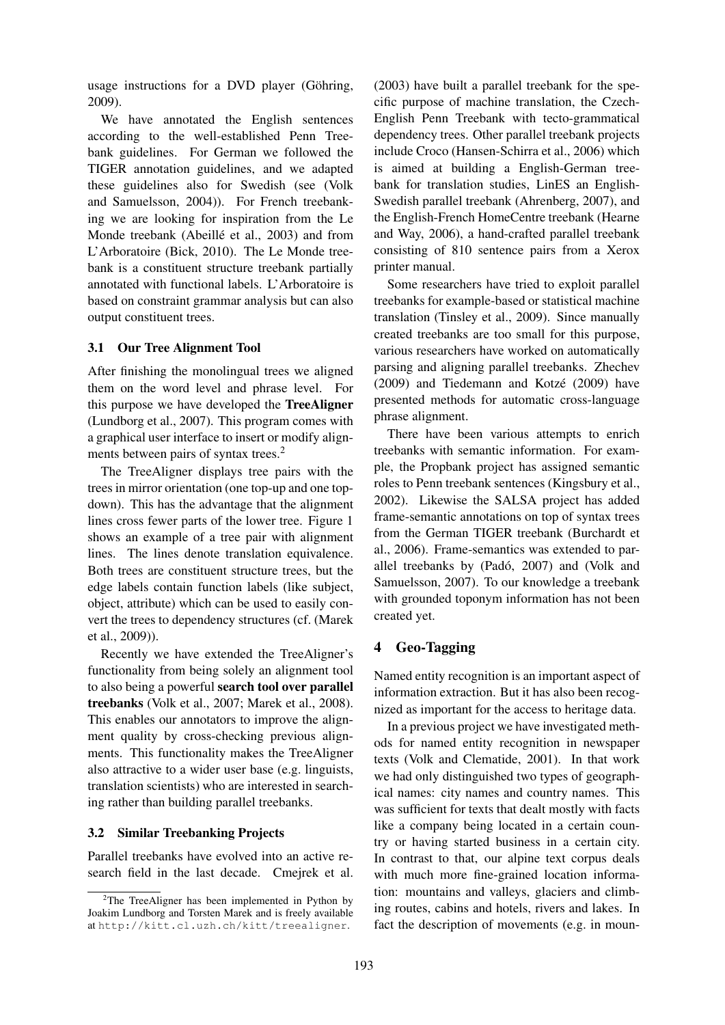usage instructions for a DVD player (Göhring, 2009).

We have annotated the English sentences according to the well-established Penn Treebank guidelines. For German we followed the TIGER annotation guidelines, and we adapted these guidelines also for Swedish (see (Volk and Samuelsson, 2004)). For French treebanking we are looking for inspiration from the Le Monde treebank (Abeillé et al., 2003) and from L'Arboratoire (Bick, 2010). The Le Monde treebank is a constituent structure treebank partially annotated with functional labels. L'Arboratoire is based on constraint grammar analysis but can also output constituent trees.

### 3.1 Our Tree Alignment Tool

After finishing the monolingual trees we aligned them on the word level and phrase level. For this purpose we have developed the TreeAligner (Lundborg et al., 2007). This program comes with a graphical user interface to insert or modify alignments between pairs of syntax trees.<sup>2</sup>

The TreeAligner displays tree pairs with the trees in mirror orientation (one top-up and one topdown). This has the advantage that the alignment lines cross fewer parts of the lower tree. Figure 1 shows an example of a tree pair with alignment lines. The lines denote translation equivalence. Both trees are constituent structure trees, but the edge labels contain function labels (like subject, object, attribute) which can be used to easily convert the trees to dependency structures (cf. (Marek et al., 2009)).

Recently we have extended the TreeAligner's functionality from being solely an alignment tool to also being a powerful search tool over parallel treebanks (Volk et al., 2007; Marek et al., 2008). This enables our annotators to improve the alignment quality by cross-checking previous alignments. This functionality makes the TreeAligner also attractive to a wider user base (e.g. linguists, translation scientists) who are interested in searching rather than building parallel treebanks.

### 3.2 Similar Treebanking Projects

Parallel treebanks have evolved into an active research field in the last decade. Cmejrek et al. (2003) have built a parallel treebank for the specific purpose of machine translation, the Czech-English Penn Treebank with tecto-grammatical dependency trees. Other parallel treebank projects include Croco (Hansen-Schirra et al., 2006) which is aimed at building a English-German treebank for translation studies, LinES an English-Swedish parallel treebank (Ahrenberg, 2007), and the English-French HomeCentre treebank (Hearne and Way, 2006), a hand-crafted parallel treebank consisting of 810 sentence pairs from a Xerox printer manual.

Some researchers have tried to exploit parallel treebanks for example-based or statistical machine translation (Tinsley et al., 2009). Since manually created treebanks are too small for this purpose, various researchers have worked on automatically parsing and aligning parallel treebanks. Zhechev (2009) and Tiedemann and Kotzé (2009) have presented methods for automatic cross-language phrase alignment.

There have been various attempts to enrich treebanks with semantic information. For example, the Propbank project has assigned semantic roles to Penn treebank sentences (Kingsbury et al., 2002). Likewise the SALSA project has added frame-semantic annotations on top of syntax trees from the German TIGER treebank (Burchardt et al., 2006). Frame-semantics was extended to parallel treebanks by (Padó, 2007) and (Volk and Samuelsson, 2007). To our knowledge a treebank with grounded toponym information has not been created yet.

### 4 Geo-Tagging

Named entity recognition is an important aspect of information extraction. But it has also been recognized as important for the access to heritage data.

In a previous project we have investigated methods for named entity recognition in newspaper texts (Volk and Clematide, 2001). In that work we had only distinguished two types of geographical names: city names and country names. This was sufficient for texts that dealt mostly with facts like a company being located in a certain country or having started business in a certain city. In contrast to that, our alpine text corpus deals with much more fine-grained location information: mountains and valleys, glaciers and climbing routes, cabins and hotels, rivers and lakes. In fact the description of movements (e.g. in moun-

 $2$ The TreeAligner has been implemented in Python by Joakim Lundborg and Torsten Marek and is freely available at http://kitt.cl.uzh.ch/kitt/treealigner.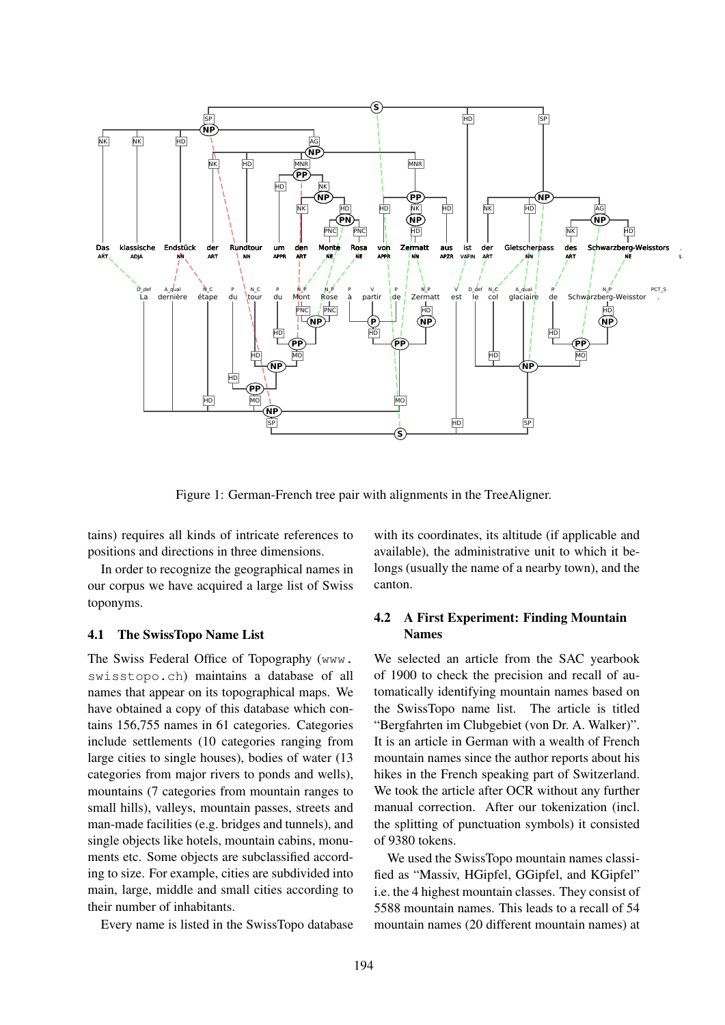

Figure 1: German-French tree pair with alignments in the TreeAligner.

tains) requires all kinds of intricate references to positions and directions in three dimensions.

In order to recognize the geographical names in our corpus we have acquired a large list of Swiss toponyms.

#### 4.1 The SwissTopo Name List

The Swiss Federal Office of Topography (www. swisstopo.ch) maintains a database of all names that appear on its topographical maps. We have obtained a copy of this database which contains 156,755 names in 61 categories. Categories include settlements (10 categories ranging from large cities to single houses), bodies of water (13 categories from major rivers to ponds and wells), mountains (7 categories from mountain ranges to small hills), valleys, mountain passes, streets and man-made facilities (e.g. bridges and tunnels), and single objects like hotels, mountain cabins, monuments etc. Some objects are subclassified according to size. For example, cities are subdivided into main, large, middle and small cities according to their number of inhabitants.

Every name is listed in the SwissTopo database

with its coordinates, its altitude (if applicable and available), the administrative unit to which it belongs (usually the name of a nearby town), and the canton.

### 4.2 A First Experiment: Finding Mountain Names

We selected an article from the SAC yearbook of 1900 to check the precision and recall of automatically identifying mountain names based on the SwissTopo name list. The article is titled "Bergfahrten im Clubgebiet (von Dr. A. Walker)". It is an article in German with a wealth of French mountain names since the author reports about his hikes in the French speaking part of Switzerland. We took the article after OCR without any further manual correction. After our tokenization (incl. the splitting of punctuation symbols) it consisted of 9380 tokens.

We used the SwissTopo mountain names classified as "Massiv, HGipfel, GGipfel, and KGipfel" i.e. the 4 highest mountain classes. They consist of 5588 mountain names. This leads to a recall of 54 mountain names (20 different mountain names) at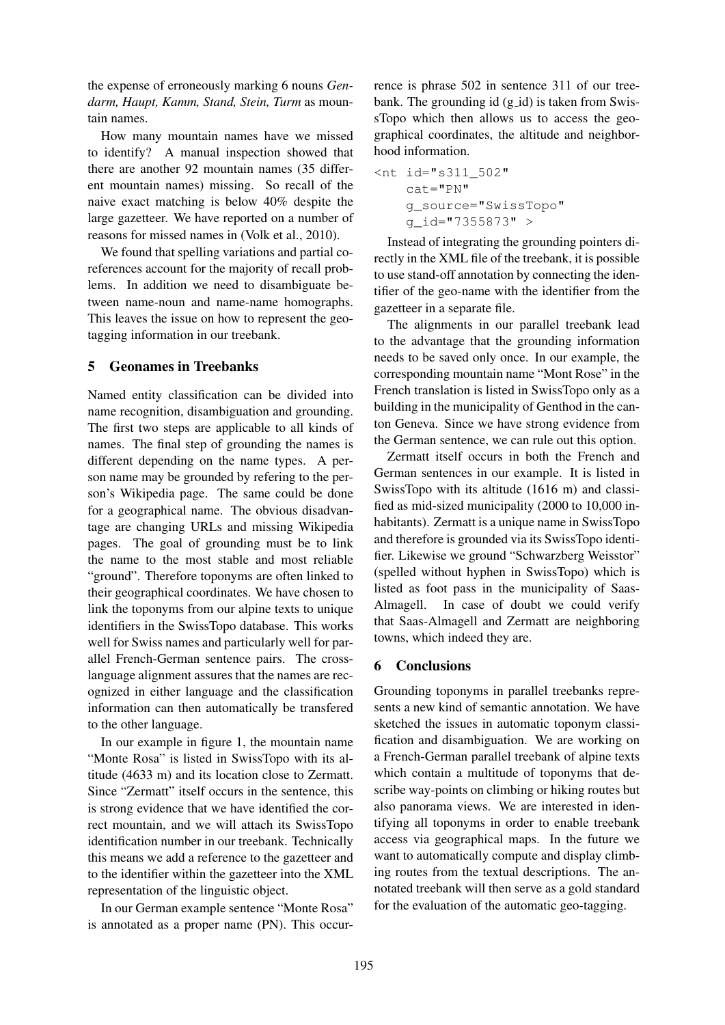the expense of erroneously marking 6 nouns *Gendarm, Haupt, Kamm, Stand, Stein, Turm* as mountain names.

How many mountain names have we missed to identify? A manual inspection showed that there are another 92 mountain names (35 different mountain names) missing. So recall of the naive exact matching is below 40% despite the large gazetteer. We have reported on a number of reasons for missed names in (Volk et al., 2010).

We found that spelling variations and partial coreferences account for the majority of recall problems. In addition we need to disambiguate between name-noun and name-name homographs. This leaves the issue on how to represent the geotagging information in our treebank.

### 5 Geonames in Treebanks

Named entity classification can be divided into name recognition, disambiguation and grounding. The first two steps are applicable to all kinds of names. The final step of grounding the names is different depending on the name types. A person name may be grounded by refering to the person's Wikipedia page. The same could be done for a geographical name. The obvious disadvantage are changing URLs and missing Wikipedia pages. The goal of grounding must be to link the name to the most stable and most reliable "ground". Therefore toponyms are often linked to their geographical coordinates. We have chosen to link the toponyms from our alpine texts to unique identifiers in the SwissTopo database. This works well for Swiss names and particularly well for parallel French-German sentence pairs. The crosslanguage alignment assures that the names are recognized in either language and the classification information can then automatically be transfered to the other language.

In our example in figure 1, the mountain name "Monte Rosa" is listed in SwissTopo with its altitude (4633 m) and its location close to Zermatt. Since "Zermatt" itself occurs in the sentence, this is strong evidence that we have identified the correct mountain, and we will attach its SwissTopo identification number in our treebank. Technically this means we add a reference to the gazetteer and to the identifier within the gazetteer into the XML representation of the linguistic object.

In our German example sentence "Monte Rosa" is annotated as a proper name (PN). This occurrence is phrase 502 in sentence 311 of our treebank. The grounding id  $(g_id)$  is taken from SwissTopo which then allows us to access the geographical coordinates, the altitude and neighborhood information.

```
<nt id="s311_502"
cat="PN"
g_source="SwissTopo"
g_id="7355873" >
```
Instead of integrating the grounding pointers directly in the XML file of the treebank, it is possible to use stand-off annotation by connecting the identifier of the geo-name with the identifier from the gazetteer in a separate file.

The alignments in our parallel treebank lead to the advantage that the grounding information needs to be saved only once. In our example, the corresponding mountain name "Mont Rose" in the French translation is listed in SwissTopo only as a building in the municipality of Genthod in the canton Geneva. Since we have strong evidence from the German sentence, we can rule out this option.

Zermatt itself occurs in both the French and German sentences in our example. It is listed in SwissTopo with its altitude (1616 m) and classified as mid-sized municipality (2000 to 10,000 inhabitants). Zermatt is a unique name in SwissTopo and therefore is grounded via its SwissTopo identifier. Likewise we ground "Schwarzberg Weisstor" (spelled without hyphen in SwissTopo) which is listed as foot pass in the municipality of Saas-Almagell. In case of doubt we could verify that Saas-Almagell and Zermatt are neighboring towns, which indeed they are.

## 6 Conclusions

Grounding toponyms in parallel treebanks represents a new kind of semantic annotation. We have sketched the issues in automatic toponym classification and disambiguation. We are working on a French-German parallel treebank of alpine texts which contain a multitude of toponyms that describe way-points on climbing or hiking routes but also panorama views. We are interested in identifying all toponyms in order to enable treebank access via geographical maps. In the future we want to automatically compute and display climbing routes from the textual descriptions. The annotated treebank will then serve as a gold standard for the evaluation of the automatic geo-tagging.